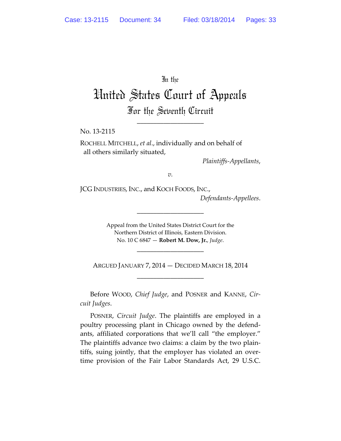In the

United States Court of Appeals For the Seventh Circuit

\_\_\_\_\_\_\_\_\_\_\_\_\_\_\_\_\_\_\_\_

No. 13‐2115

ROCHELL MITCHELL, *et al*., individually and on behalf of all others similarly situated,

*Plaintiffs‐Appellants*,

*v.*

JCG INDUSTRIES, INC., and KOCH FOODS, INC.,

*Defendants‐Appellees*.

Appeal from the United States District Court for the Northern District of Illinois, Eastern Division. No. 10 C 6847 — **Robert M. Dow, Jr.**, *Judge*.

\_\_\_\_\_\_\_\_\_\_\_\_\_\_\_\_\_\_\_\_

ARGUED JANUARY 7, 2014 — DECIDED MARCH 18, 2014 \_\_\_\_\_\_\_\_\_\_\_\_\_\_\_\_\_\_\_\_

\_\_\_\_\_\_\_\_\_\_\_\_\_\_\_\_\_\_\_\_

Before WOOD, *Chief Judge*, and POSNER and KANNE, *Cir‐ cuit Judges*.

POSNER, *Circuit Judge*. The plaintiffs are employed in a poultry processing plant in Chicago owned by the defend‐ ants, affiliated corporations that we'll call "the employer." The plaintiffs advance two claims: a claim by the two plain‐ tiffs, suing jointly, that the employer has violated an over‐ time provision of the Fair Labor Standards Act, 29 U.S.C.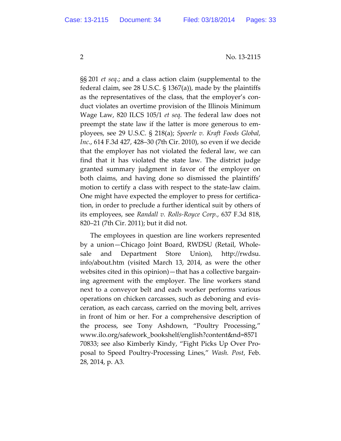§§ 201 *et seq*.; and a class action claim (supplemental to the federal claim, see 28 U.S.C. § 1367(a)), made by the plaintiffs as the representatives of the class, that the employer's con‐ duct violates an overtime provision of the Illinois Minimum Wage Law, 820 ILCS 105/1 *et seq*. The federal law does not preempt the state law if the latter is more generous to em‐ ployees, see 29 U.S.C. § 218(a); *Spoerle v. Kraft Foods Global, Inc*., 614 F.3d 427, 428–30 (7th Cir. 2010), so even if we decide that the employer has not violated the federal law, we can find that it has violated the state law. The district judge granted summary judgment in favor of the employer on both claims, and having done so dismissed the plaintiffs' motion to certify a class with respect to the state‐law claim. One might have expected the employer to press for certifica‐ tion, in order to preclude a further identical suit by others of its employees, see *Randall v. Rolls‐Royce Corp.*, 637 F.3d 818, 820–21 (7th Cir. 2011); but it did not.

The employees in question are line workers represented by a union—Chicago Joint Board, RWDSU (Retail, Whole‐ sale and Department Store Union), http://rwdsu. info/about.htm (visited March 13, 2014, as were the other websites cited in this opinion)—that has a collective bargaining agreement with the employer. The line workers stand next to a conveyor belt and each worker performs various operations on chicken carcasses, such as deboning and evis‐ ceration, as each carcass, carried on the moving belt, arrives in front of him or her. For a comprehensive description of the process, see Tony Ashdown, "Poultry Processing," www.ilo.org/safework\_bookshelf/english?content&nd=8571 70833; see also Kimberly Kindy, "Fight Picks Up Over Pro‐ posal to Speed Poultry‐Processing Lines," *Wash. Post*, Feb. 28, 2014, p. A3.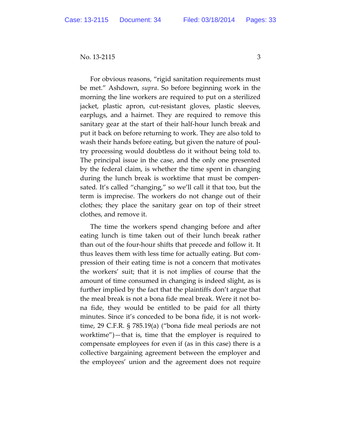For obvious reasons, "rigid sanitation requirements must be met." Ashdown, *supra*. So before beginning work in the morning the line workers are required to put on a sterilized jacket, plastic apron, cut‐resistant gloves, plastic sleeves, earplugs, and a hairnet. They are required to remove this sanitary gear at the start of their half‐hour lunch break and put it back on before returning to work. They are also told to wash their hands before eating, but given the nature of poul‐ try processing would doubtless do it without being told to. The principal issue in the case, and the only one presented by the federal claim, is whether the time spent in changing during the lunch break is worktime that must be compen‐ sated. It's called "changing," so we'll call it that too, but the term is imprecise. The workers do not change out of their clothes; they place the sanitary gear on top of their street clothes, and remove it.

The time the workers spend changing before and after eating lunch is time taken out of their lunch break rather than out of the four‐hour shifts that precede and follow it. It thus leaves them with less time for actually eating. But com‐ pression of their eating time is not a concern that motivates the workers' suit; that it is not implies of course that the amount of time consumed in changing is indeed slight, as is further implied by the fact that the plaintiffs don't argue that the meal break is not a bona fide meal break. Were it not bo‐ na fide, they would be entitled to be paid for all thirty minutes. Since it's conceded to be bona fide, it is not work‐ time, 29 C.F.R. § 785.19(a) ("bona fide meal periods are not worktime")—that is, time that the employer is required to compensate employees for even if (as in this case) there is a collective bargaining agreement between the employer and the employees' union and the agreement does not require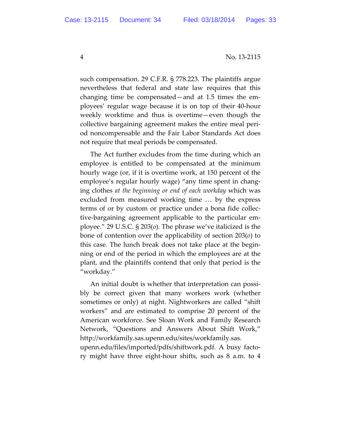such compensation. 29 C.F.R. § 778.223. The plaintiffs argue nevertheless that federal and state law requires that this changing time be compensated—and at 1.5 times the em‐ ployees' regular wage because it is on top of their 40‐hour weekly worktime and thus is overtime—even though the collective bargaining agreement makes the entire meal peri‐ od noncompensable and the Fair Labor Standards Act does not require that meal periods be compensated.

The Act further excludes from the time during which an employee is entitled to be compensated at the minimum hourly wage (or, if it is overtime work, at 150 percent of the employee's regular hourly wage) "any time spent in chang‐ ing clothes *at the beginning or end of each workday* which was excluded from measured working time … by the express terms of or by custom or practice under a bona fide collec‐ tive‐bargaining agreement applicable to the particular em‐ ployee." 29 U.S.C. § 203(*o*). The phrase we've italicized is the bone of contention over the applicability of section 203(*o*) to this case. The lunch break does not take place at the begin‐ ning or end of the period in which the employees are at the plant, and the plaintiffs contend that only that period is the "workday."

An initial doubt is whether that interpretation can possibly be correct given that many workers work (whether sometimes or only) at night. Nightworkers are called "shift workers" and are estimated to comprise 20 percent of the American workforce. See Sloan Work and Family Research Network, "Questions and Answers About Shift Work," http://workfamily.sas.upenn.edu/sites/workfamily.sas.

upenn.edu/files/imported/pdfs/shiftwork.pdf. A busy facto‐ ry might have three eight‐hour shifts, such as 8 a.m. to 4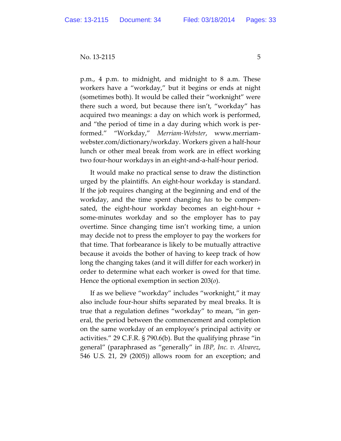p.m., 4 p.m. to midnight, and midnight to 8 a.m. These workers have a "workday," but it begins or ends at night (sometimes both). It would be called their "worknight" were there such a word, but because there isn't, "workday" has acquired two meanings: a day on which work is performed, and "the period of time in a day during which work is per‐ formed." "Workday," *Merriam‐Webster*, www.merriam‐ webster.com/dictionary/workday. Workers given a half‐hour lunch or other meal break from work are in effect working two four‐hour workdays in an eight‐and‐a‐half‐hour period.

It would make no practical sense to draw the distinction urged by the plaintiffs. An eight‐hour workday is standard. If the job requires changing at the beginning and end of the workday, and the time spent changing *has* to be compen‐ sated, the eight‐hour workday becomes an eight‐hour + some‐minutes workday and so the employer has to pay overtime. Since changing time isn't working time, a union may decide not to press the employer to pay the workers for that time. That forbearance is likely to be mutually attractive because it avoids the bother of having to keep track of how long the changing takes (and it will differ for each worker) in order to determine what each worker is owed for that time. Hence the optional exemption in section 203(*o*).

If as we believe "workday" includes "worknight," it may also include four‐hour shifts separated by meal breaks. It is true that a regulation defines "workday" to mean, "in gen‐ eral, the period between the commencement and completion on the same workday of an employee's principal activity or activities." 29 C.F.R. § 790.6(b). But the qualifying phrase "in general" (paraphrased as "generally" in *IBP, Inc. v. Alvarez*, 546 U.S. 21, 29 (2005)) allows room for an exception; and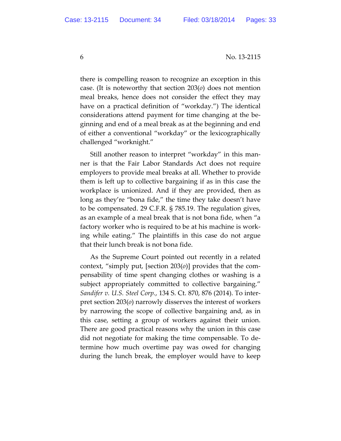6 No. 13-2115

there is compelling reason to recognize an exception in this case. (It is noteworthy that section 203(*o*) does not mention meal breaks, hence does not consider the effect they may have on a practical definition of "workday.") The identical considerations attend payment for time changing at the be‐ ginning and end of a meal break as at the beginning and end of either a conventional "workday" or the lexicographically challenged "worknight."

Still another reason to interpret "workday" in this man‐ ner is that the Fair Labor Standards Act does not require employers to provide meal breaks at all. Whether to provide them is left up to collective bargaining if as in this case the workplace is unionized. And if they are provided, then as long as they're "bona fide," the time they take doesn't have to be compensated. 29 C.F.R. § 785.19. The regulation gives, as an example of a meal break that is not bona fide, when "a factory worker who is required to be at his machine is work‐ ing while eating." The plaintiffs in this case do not argue that their lunch break is not bona fide.

As the Supreme Court pointed out recently in a related context, "simply put, [section 203(*o*)] provides that the com‐ pensability of time spent changing clothes or washing is a subject appropriately committed to collective bargaining." *Sandifer v. U.S. Steel Corp.*, 134 S. Ct. 870, 876 (2014). To inter‐ pret section 203(*o*) narrowly disserves the interest of workers by narrowing the scope of collective bargaining and, as in this case, setting a group of workers against their union. There are good practical reasons why the union in this case did not negotiate for making the time compensable. To de‐ termine how much overtime pay was owed for changing during the lunch break, the employer would have to keep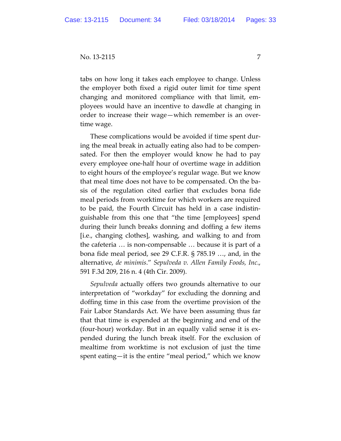tabs on how long it takes each employee to change. Unless the employer both fixed a rigid outer limit for time spent changing and monitored compliance with that limit, em‐ ployees would have an incentive to dawdle at changing in order to increase their wage—which remember is an over‐ time wage.

These complications would be avoided if time spent dur‐ ing the meal break in actually eating also had to be compen‐ sated. For then the employer would know he had to pay every employee one‐half hour of overtime wage in addition to eight hours of the employee's regular wage. But we know that meal time does not have to be compensated. On the ba‐ sis of the regulation cited earlier that excludes bona fide meal periods from worktime for which workers are required to be paid, the Fourth Circuit has held in a case indistin‐ guishable from this one that "the time [employees] spend during their lunch breaks donning and doffing a few items [i.e., changing clothes], washing, and walking to and from the cafeteria … is non‐compensable … because it is part of a bona fide meal period, see 29 C.F.R. § 785.19 …, and, in the alternative, *de minimis*." *Sepulveda v. Allen Family Foods, Inc*., 591 F.3d 209, 216 n. 4 (4th Cir. 2009).

*Sepulveda* actually offers two grounds alternative to our interpretation of "workday" for excluding the donning and doffing time in this case from the overtime provision of the Fair Labor Standards Act. We have been assuming thus far that that time is expended at the beginning and end of the (four‐hour) workday. But in an equally valid sense it is ex‐ pended during the lunch break itself. For the exclusion of mealtime from worktime is not exclusion of just the time spent eating—it is the entire "meal period," which we know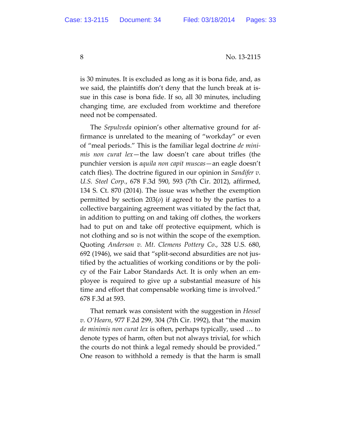8 No. 13-2115

is 30 minutes. It is excluded as long as it is bona fide, and, as we said, the plaintiffs don't deny that the lunch break at issue in this case is bona fide. If so, all 30 minutes, including changing time, are excluded from worktime and therefore need not be compensated.

The *Sepulveda* opinion's other alternative ground for af‐ firmance is unrelated to the meaning of "workday" or even of "meal periods." This is the familiar legal doctrine *de mini‐ mis non curat lex*—the law doesn't care about trifles (the punchier version is *aquila non capit muscas*—an eagle doesn't catch flies). The doctrine figured in our opinion in *Sandifer v. U.S. Steel Corp.*, 678 F.3d 590, 593 (7th Cir. 2012), affirmed, 134 S. Ct. 870 (2014). The issue was whether the exemption permitted by section 203(*o*) if agreed to by the parties to a collective bargaining agreement was vitiated by the fact that, in addition to putting on and taking off clothes, the workers had to put on and take off protective equipment, which is not clothing and so is not within the scope of the exemption. Quoting *Anderson v. Mt. Clemens Pottery Co*., 328 U.S. 680, 692 (1946), we said that "split‐second absurdities are not jus‐ tified by the actualities of working conditions or by the poli‐ cy of the Fair Labor Standards Act. It is only when an em‐ ployee is required to give up a substantial measure of his time and effort that compensable working time is involved." 678 F.3d at 593.

That remark was consistent with the suggestion in *Hessel v. O'Hearn*, 977 F.2d 299, 304 (7th Cir. 1992), that "the maxim *de minimis non curat lex* is often, perhaps typically, used … to denote types of harm, often but not always trivial, for which the courts do not think a legal remedy should be provided." One reason to withhold a remedy is that the harm is small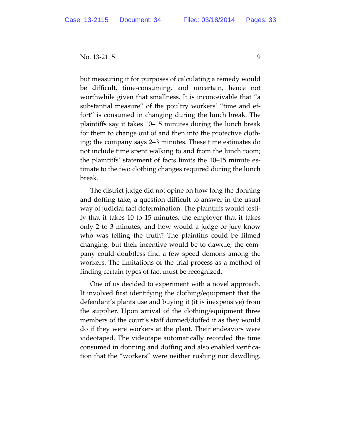but measuring it for purposes of calculating a remedy would be difficult, time-consuming, and uncertain, hence not worthwhile given that smallness. It is inconceivable that "a substantial measure" of the poultry workers' "time and ef‐ fort" is consumed in changing during the lunch break. The plaintiffs say it takes 10–15 minutes during the lunch break for them to change out of and then into the protective cloth‐ ing; the company says 2–3 minutes. These time estimates do not include time spent walking to and from the lunch room; the plaintiffs' statement of facts limits the 10–15 minute es‐ timate to the two clothing changes required during the lunch break.

The district judge did not opine on how long the donning and doffing take, a question difficult to answer in the usual way of judicial fact determination. The plaintiffs would testi‐ fy that it takes 10 to 15 minutes, the employer that it takes only 2 to 3 minutes, and how would a judge or jury know who was telling the truth? The plaintiffs could be filmed changing, but their incentive would be to dawdle; the com‐ pany could doubtless find a few speed demons among the workers. The limitations of the trial process as a method of finding certain types of fact must be recognized.

One of us decided to experiment with a novel approach. It involved first identifying the clothing/equipment that the defendant's plants use and buying it (it is inexpensive) from the supplier. Upon arrival of the clothing/equipment three members of the court's staff donned/doffed it as they would do if they were workers at the plant. Their endeavors were videotaped. The videotape automatically recorded the time consumed in donning and doffing and also enabled verifica‐ tion that the "workers" were neither rushing nor dawdling.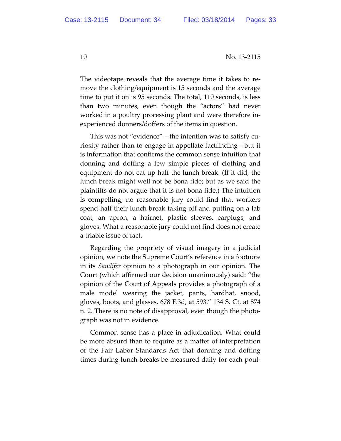The videotape reveals that the average time it takes to re‐ move the clothing/equipment is 15 seconds and the average time to put it on is 95 seconds. The total, 110 seconds, is less than two minutes, even though the "actors" had never worked in a poultry processing plant and were therefore in‐ experienced donners/doffers of the items in question.

This was not "evidence"—the intention was to satisfy cu‐ riosity rather than to engage in appellate factfinding—but it is information that confirms the common sense intuition that donning and doffing a few simple pieces of clothing and equipment do not eat up half the lunch break. (If it did, the lunch break might well not be bona fide; but as we said the plaintiffs do not argue that it is not bona fide.) The intuition is compelling; no reasonable jury could find that workers spend half their lunch break taking off and putting on a lab coat, an apron, a hairnet, plastic sleeves, earplugs, and gloves. What a reasonable jury could not find does not create a triable issue of fact.

Regarding the propriety of visual imagery in a judicial opinion, we note the Supreme Court's reference in a footnote in its *Sandifer* opinion to a photograph in our opinion. The Court (which affirmed our decision unanimously) said: "the opinion of the Court of Appeals provides a photograph of a male model wearing the jacket, pants, hardhat, snood, gloves, boots, and glasses. 678 F.3d, at 593." 134 S. Ct. at 874 n. 2. There is no note of disapproval, even though the photograph was not in evidence.

Common sense has a place in adjudication. What could be more absurd than to require as a matter of interpretation of the Fair Labor Standards Act that donning and doffing times during lunch breaks be measured daily for each poul‐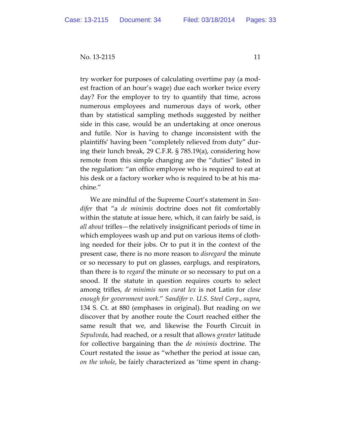try worker for purposes of calculating overtime pay (a mod‐ est fraction of an hour's wage) due each worker twice every day? For the employer to try to quantify that time, across numerous employees and numerous days of work, other than by statistical sampling methods suggested by neither side in this case, would be an undertaking at once onerous and futile. Nor is having to change inconsistent with the plaintiffs' having been "completely relieved from duty" dur‐ ing their lunch break, 29 C.F.R. § 785.19(a), considering how remote from this simple changing are the "duties" listed in the regulation: "an office employee who is required to eat at his desk or a factory worker who is required to be at his ma‐ chine."

We are mindful of the Supreme Court's statement in *San‐ difer* that "a *de minimis* doctrine does not fit comfortably within the statute at issue here, which, it can fairly be said, is *all about* trifles—the relatively insignificant periods of time in which employees wash up and put on various items of cloth‐ ing needed for their jobs. Or to put it in the context of the present case, there is no more reason to *disregard* the minute or so necessary to put on glasses, earplugs, and respirators, than there is to *regard* the minute or so necessary to put on a snood. If the statute in question requires courts to select among trifles, *de minimis non curat lex* is not Latin for *close enough for government work*." *Sandifer v. U.S. Steel Corp.*, *supra*, 134 S. Ct. at 880 (emphases in original). But reading on we discover that by another route the Court reached either the same result that we, and likewise the Fourth Circuit in *Sepulveda*, had reached, or a result that allows *greater* latitude for collective bargaining than the *de minimis* doctrine. The Court restated the issue as "whether the period at issue can, *on the whole*, be fairly characterized as 'time spent in chang‐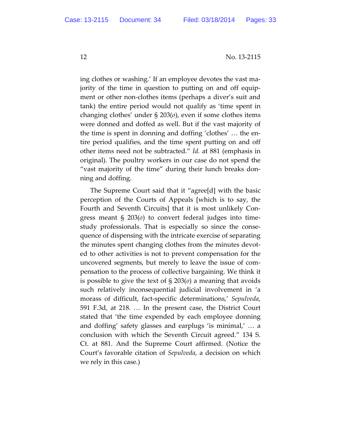ing clothes or washing.' If an employee devotes the vast ma‐ jority of the time in question to putting on and off equip‐ ment or other non-clothes items (perhaps a diver's suit and tank) the entire period would not qualify as 'time spent in changing clothes' under § 203(*o*), even if some clothes items were donned and doffed as well. But if the vast majority of the time is spent in donning and doffing 'clothes' … the en‐ tire period qualifies, and the time spent putting on and off other items need not be subtracted." *Id.* at 881 (emphasis in original). The poultry workers in our case do not spend the "vast majority of the time" during their lunch breaks don‐ ning and doffing.

The Supreme Court said that it "agree[d] with the basic perception of the Courts of Appeals [which is to say, the Fourth and Seventh Circuits] that it is most unlikely Con‐ gress meant § 203(*o*) to convert federal judges into time‐ study professionals. That is especially so since the conse‐ quence of dispensing with the intricate exercise of separating the minutes spent changing clothes from the minutes devot‐ ed to other activities is not to prevent compensation for the uncovered segments, but merely to leave the issue of com‐ pensation to the process of collective bargaining. We think it is possible to give the text of § 203(*o*) a meaning that avoids such relatively inconsequential judicial involvement in 'a morass of difficult, fact‐specific determinations,' *Sepulveda*, 591 F.3d, at 218. … In the present case, the District Court stated that 'the time expended by each employee donning and doffing' safety glasses and earplugs 'is minimal,' … a conclusion with which the Seventh Circuit agreed." 134 S. Ct. at 881. And the Supreme Court affirmed. (Notice the Court's favorable citation of *Sepulveda*, a decision on which we rely in this case.)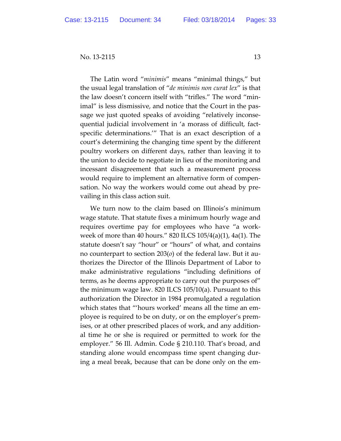The Latin word "*minimis*" means "minimal things," but the usual legal translation of "*de minimis non curat lex*" is that the law doesn't concern itself with "trifles." The word "min‐ imal" is less dismissive, and notice that the Court in the pas‐ sage we just quoted speaks of avoiding "relatively inconse‐ quential judicial involvement in 'a morass of difficult, fact‐ specific determinations.'" That is an exact description of a court's determining the changing time spent by the different poultry workers on different days, rather than leaving it to the union to decide to negotiate in lieu of the monitoring and incessant disagreement that such a measurement process would require to implement an alternative form of compen‐ sation. No way the workers would come out ahead by pre‐ vailing in this class action suit.

We turn now to the claim based on Illinois's minimum wage statute. That statute fixes a minimum hourly wage and requires overtime pay for employees who have "a work‐ week of more than 40 hours." 820 ILCS 105/4(a)(1), 4a(1). The statute doesn't say "hour" or "hours" of what, and contains no counterpart to section 203(*o*) of the federal law. But it au‐ thorizes the Director of the Illinois Department of Labor to make administrative regulations "including definitions of terms, as he deems appropriate to carry out the purposes of" the minimum wage law. 820 ILCS 105/10(a). Pursuant to this authorization the Director in 1984 promulgated a regulation which states that "'hours worked' means all the time an em‐ ployee is required to be on duty, or on the employer's prem‐ ises, or at other prescribed places of work, and any addition‐ al time he or she is required or permitted to work for the employer." 56 Ill. Admin. Code § 210.110. That's broad, and standing alone would encompass time spent changing dur‐ ing a meal break, because that can be done only on the em‐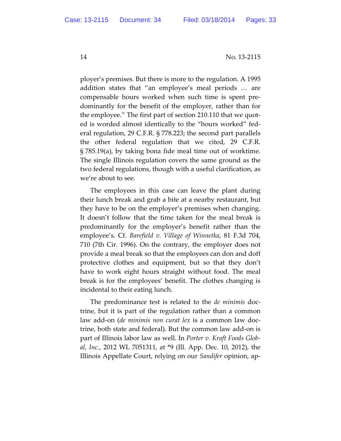ployer's premises. But there is more to the regulation. A 1995 addition states that "an employee's meal periods … are compensable hours worked when such time is spent pre‐ dominantly for the benefit of the employer, rather than for the employee." The first part of section 210.110 that we quot‐ ed is worded almost identically to the "hours worked" fed‐ eral regulation, 29 C.F.R. § 778.223; the second part parallels the other federal regulation that we cited, 29 C.F.R. § 785.19(a), by taking bona fide meal time out of worktime. The single Illinois regulation covers the same ground as the two federal regulations, though with a useful clarification, as we're about to see.

The employees in this case can leave the plant during their lunch break and grab a bite at a nearby restaurant, but they have to be on the employer's premises when changing. It doesn't follow that the time taken for the meal break is predominantly for the employer's benefit rather than the employee's. Cf. *Barefield v. Village of Winnetka*, 81 F.3d 704, 710 (7th Cir. 1996). On the contrary, the employer does not provide a meal break so that the employees can don and doff protective clothes and equipment, but so that they don't have to work eight hours straight without food. The meal break is for the employees' benefit. The clothes changing is incidental to their eating lunch.

The predominance test is related to the *de minimis* doc‐ trine, but it is part of the regulation rather than a common law add‐on (*de minimis non curat lex* is a common law doc‐ trine, both state and federal). But the common law add‐on is part of Illinois labor law as well. In *Porter v. Kraft Foods Glob‐ al, Inc.*, 2012 WL 7051311, at \*9 (Ill. App. Dec. 10, 2012), the Illinois Appellate Court, relying on our *Sandifer* opinion, ap‐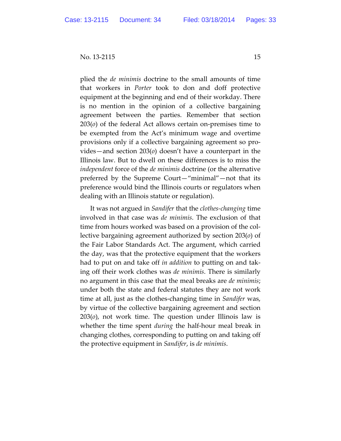plied the *de minimis* doctrine to the small amounts of time that workers in *Porter* took to don and doff protective equipment at the beginning and end of their workday. There is no mention in the opinion of a collective bargaining agreement between the parties. Remember that section 203(*o*) of the federal Act allows certain on‐premises time to be exempted from the Act's minimum wage and overtime provisions only if a collective bargaining agreement so pro‐ vides—and section 203(*o*) doesn't have a counterpart in the Illinois law. But to dwell on these differences is to miss the *independent* force of the *de minimis* doctrine (or the alternative preferred by the Supreme Court—"minimal"—not that its preference would bind the Illinois courts or regulators when dealing with an Illinois statute or regulation).

It was not argued in *Sandifer* that the *clothes‐changing* time involved in that case was *de minimis*. The exclusion of that time from hours worked was based on a provision of the col‐ lective bargaining agreement authorized by section 203(*o*) of the Fair Labor Standards Act. The argument, which carried the day, was that the protective equipment that the workers had to put on and take off *in addition* to putting on and tak‐ ing off their work clothes was *de minimis*. There is similarly no argument in this case that the meal breaks are *de minimis*; under both the state and federal statutes they are not work time at all, just as the clothes‐changing time in *Sandifer* was, by virtue of the collective bargaining agreement and section 203(*o*), not work time. The question under Illinois law is whether the time spent *during* the half‐hour meal break in changing clothes, corresponding to putting on and taking off the protective equipment in *Sandifer*, is *de minimis*.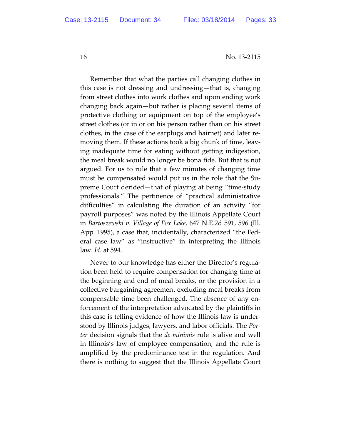Remember that what the parties call changing clothes in this case is not dressing and undressing—that is, changing from street clothes into work clothes and upon ending work changing back again—but rather is placing several items of protective clothing or equipment on top of the employee's street clothes (or in or on his person rather than on his street clothes, in the case of the earplugs and hairnet) and later re‐ moving them. If these actions took a big chunk of time, leav‐ ing inadequate time for eating without getting indigestion, the meal break would no longer be bona fide. But that is not argued. For us to rule that a few minutes of changing time must be compensated would put us in the role that the Supreme Court derided—that of playing at being "time‐study professionals." The pertinence of "practical administrative difficulties" in calculating the duration of an activity "for payroll purposes" was noted by the Illinois Appellate Court in *Bartoszewski v. Village of Fox Lake*, 647 N.E.2d 591, 596 (Ill. App. 1995), a case that, incidentally, characterized "the Fed‐ eral case law" as "instructive" in interpreting the Illinois law. *Id*. at 594.

Never to our knowledge has either the Director's regula‐ tion been held to require compensation for changing time at the beginning and end of meal breaks, or the provision in a collective bargaining agreement excluding meal breaks from compensable time been challenged. The absence of any enforcement of the interpretation advocated by the plaintiffs in this case is telling evidence of how the Illinois law is under‐ stood by Illinois judges, lawyers, and labor officials. The *Por‐ ter* decision signals that the *de minimis* rule is alive and well in Illinois's law of employee compensation, and the rule is amplified by the predominance test in the regulation. And there is nothing to suggest that the Illinois Appellate Court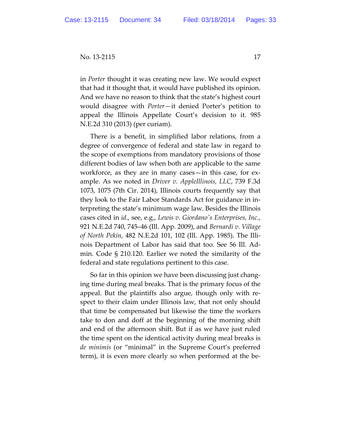in *Porter* thought it was creating new law. We would expect that had it thought that, it would have published its opinion. And we have no reason to think that the state's highest court would disagree with *Porter—*it denied Porter's petition to appeal the Illinois Appellate Court's decision to it. 985 N.E.2d 310 (2013) (per curiam).

There is a benefit, in simplified labor relations, from a degree of convergence of federal and state law in regard to the scope of exemptions from mandatory provisions of those different bodies of law when both are applicable to the same workforce, as they are in many cases—in this case, for ex‐ ample. As we noted in *Driver v. AppleIllinois, LLC*, 739 F.3d 1073, 1075 (7th Cir. 2014), Illinois courts frequently say that they look to the Fair Labor Standards Act for guidance in in‐ terpreting the state's minimum wage law. Besides the Illinois cases cited in *id*., see, e.g., *Lewis v. Giordanoʹs Enterprises, Inc.*, 921 N.E.2d 740, 745–46 (Ill. App. 2009), and *Bernardi v. Village of North Pekin*, 482 N.E.2d 101, 102 (Ill. App. 1985). The Illi‐ nois Department of Labor has said that too. See 56 Ill. Ad‐ min. Code § 210.120. Earlier we noted the similarity of the federal and state regulations pertinent to this case.

So far in this opinion we have been discussing just chang‐ ing time during meal breaks. That is the primary focus of the appeal. But the plaintiffs also argue, though only with re‐ spect to their claim under Illinois law, that not only should that time be compensated but likewise the time the workers take to don and doff at the beginning of the morning shift and end of the afternoon shift. But if as we have just ruled the time spent on the identical activity during meal breaks is *de minimis* (or "minimal" in the Supreme Court's preferred term), it is even more clearly so when performed at the be‐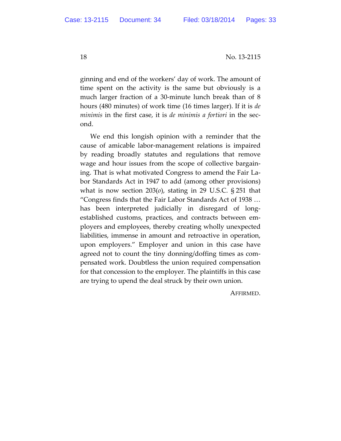ginning and end of the workers' day of work. The amount of time spent on the activity is the same but obviously is a much larger fraction of a 30‐minute lunch break than of 8 hours (480 minutes) of work time (16 times larger). If it is *de minimis* in the first case, it is *de minimis a fortiori* in the sec‐ ond.

We end this longish opinion with a reminder that the cause of amicable labor‐management relations is impaired by reading broadly statutes and regulations that remove wage and hour issues from the scope of collective bargain‐ ing. That is what motivated Congress to amend the Fair La‐ bor Standards Act in 1947 to add (among other provisions) what is now section 203(*o*), stating in 29 U.S.C. § 251 that "Congress finds that the Fair Labor Standards Act of 1938 … has been interpreted judicially in disregard of longestablished customs, practices, and contracts between em‐ ployers and employees, thereby creating wholly unexpected liabilities, immense in amount and retroactive in operation, upon employers." Employer and union in this case have agreed not to count the tiny donning/doffing times as com‐ pensated work. Doubtless the union required compensation for that concession to the employer. The plaintiffs in this case are trying to upend the deal struck by their own union.

AFFIRMED.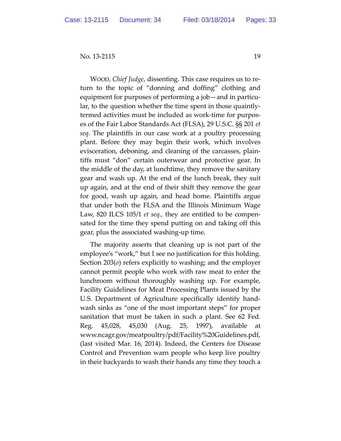WOOD, *Chief Judge*, dissenting. This case requires us to re‐ turn to the topic of "donning and doffing" clothing and equipment for purposes of performing a job—and in particu‐ lar, to the question whether the time spent in those quaintly‐ termed activities must be included as work‐time for purpos‐ es of the Fair Labor Standards Act (FLSA), 29 U.S.C. §§ 201 *et seq.* The plaintiffs in our case work at a poultry processing plant. Before they may begin their work, which involves evisceration, deboning, and cleaning of the carcasses, plain‐ tiffs must "don" certain outerwear and protective gear. In the middle of the day, at lunchtime, they remove the sanitary gear and wash up. At the end of the lunch break, they suit up again, and at the end of their shift they remove the gear for good, wash up again, and head home. Plaintiffs argue that under both the FLSA and the Illinois Minimum Wage Law, 820 ILCS 105/1 *et seq.,* they are entitled to be compen‐ sated for the time they spend putting on and taking off this gear, plus the associated washing‐up time.

The majority asserts that cleaning up is not part of the employee's "work," but I see no justification for this holding. Section 203(*o*) refers explicitly to washing; and the employer cannot permit people who work with raw meat to enter the lunchroom without thoroughly washing up. For example*,* Facility Guidelines for Meat Processing Plants issued by the U.S. Department of Agriculture specifically identify hand‐ wash sinks as "one of the most important steps" for proper sanitation that must be taken in such a plant. See 62 Fed. Reg. 45,028, 45,030 (Aug. 25, 1997), available at www.ncagr.gov/meatpoultry/pdf/Facility%20Guidelines.pdf, (last visited Mar. 16, 2014). Indeed, the Centers for Disease Control and Prevention warn people who keep live poultry in their backyards to wash their hands any time they touch a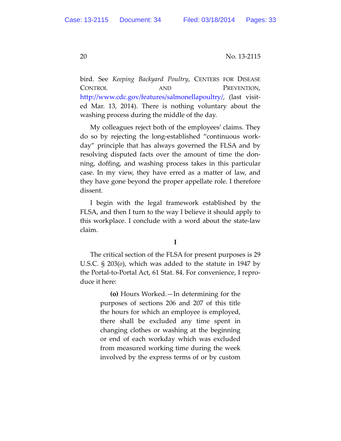bird. See *Keeping Backyard Poultry*, CENTERS FOR DISEASE CONTROL AND PREVENTION, http://www.cdc.gov/features/salmonellapoultry/, (last visited Mar. 13, 2014). There is nothing voluntary about the washing process during the middle of the day.

My colleagues reject both of the employees' claims. They do so by rejecting the long‐established "continuous work‐ day" principle that has always governed the FLSA and by resolving disputed facts over the amount of time the don‐ ning, doffing, and washing process takes in this particular case. In my view, they have erred as a matter of law, and they have gone beyond the proper appellate role. I therefore dissent.

I begin with the legal framework established by the FLSA, and then I turn to the way I believe it should apply to this workplace. I conclude with a word about the state‐law claim.

## **I**

The critical section of the FLSA for present purposes is 29 U.S.C. § 203(*o*), which was added to the statute in 1947 by the Portal‐to‐Portal Act, 61 Stat. 84. For convenience, I repro‐ duce it here:

> **(o)** Hours Worked.—In determining for the purposes of sections 206 and 207 of this title the hours for which an employee is employed, there shall be excluded any time spent in changing clothes or washing at the beginning or end of each workday which was excluded from measured working time during the week involved by the express terms of or by custom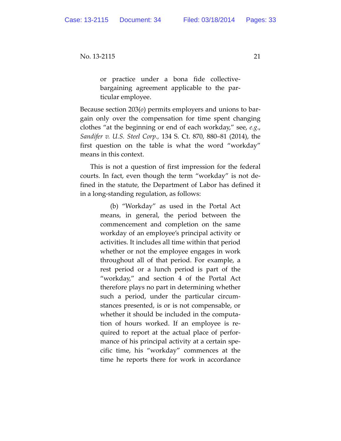or practice under a bona fide collective‐ bargaining agreement applicable to the par‐ ticular employee.

Because section 203(*o*) permits employers and unions to bar‐ gain only over the compensation for time spent changing clothes "at the beginning or end of each workday," see, *e.g*., *Sandifer v. U.S. Steel Corp.,* 134 S. Ct. 870, 880–81 (2014), the first question on the table is what the word "workday" means in this context.

This is not a question of first impression for the federal courts. In fact, even though the term "workday" is not de‐ fined in the statute, the Department of Labor has defined it in a long‐standing regulation, as follows:

> (b) "Workday" as used in the Portal Act means, in general, the period between the commencement and completion on the same workday of an employee's principal activity or activities. It includes all time within that period whether or not the employee engages in work throughout all of that period. For example, a rest period or a lunch period is part of the "workday," and section 4 of the Portal Act therefore plays no part in determining whether such a period, under the particular circum‐ stances presented, is or is not compensable, or whether it should be included in the computa‐ tion of hours worked. If an employee is re‐ quired to report at the actual place of perfor‐ mance of his principal activity at a certain specific time, his "workday" commences at the time he reports there for work in accordance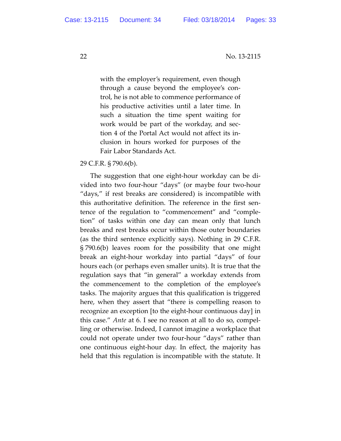with the employer's requirement, even though through a cause beyond the employee's con‐ trol, he is not able to commence performance of his productive activities until a later time. In such a situation the time spent waiting for work would be part of the workday, and sec‐ tion 4 of the Portal Act would not affect its in‐ clusion in hours worked for purposes of the Fair Labor Standards Act.

29 C.F.R. § 790.6(b).

The suggestion that one eight‐hour workday can be di‐ vided into two four‐hour "days" (or maybe four two‐hour "days," if rest breaks are considered) is incompatible with this authoritative definition. The reference in the first sen‐ tence of the regulation to "commencement" and "comple‐ tion" of tasks within one day can mean only that lunch breaks and rest breaks occur within those outer boundaries (as the third sentence explicitly says). Nothing in 29 C.F.R. § 790.6(b) leaves room for the possibility that one might break an eight‐hour workday into partial "days" of four hours each (or perhaps even smaller units). It is true that the regulation says that "in general" a workday extends from the commencement to the completion of the employee's tasks. The majority argues that this qualification is triggered here, when they assert that "there is compelling reason to recognize an exception [to the eight‐hour continuous day] in this case." *Ante* at 6. I see no reason at all to do so, compel‐ ling or otherwise. Indeed, I cannot imagine a workplace that could not operate under two four‐hour "days" rather than one continuous eight‐hour day. In effect, the majority has held that this regulation is incompatible with the statute. It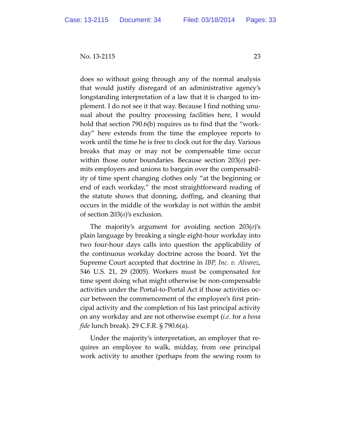does so without going through any of the normal analysis that would justify disregard of an administrative agency's longstanding interpretation of a law that it is charged to im‐ plement. I do not see it that way. Because I find nothing unu‐ sual about the poultry processing facilities here, I would hold that section 790.6(b) requires us to find that the "workday" here extends from the time the employee reports to work until the time he is free to clock out for the day. Various breaks that may or may not be compensable time occur within those outer boundaries. Because section 203(*o*) per‐ mits employers and unions to bargain over the compensabil‐ ity of time spent changing clothes only "at the beginning or end of each workday," the most straightforward reading of the statute shows that donning, doffing, and cleaning that occurs in the middle of the workday is not within the ambit of section 203(*o*)'s exclusion.

The majority's argument for avoiding section 203(*o*)'s plain language by breaking a single eight‐hour workday into two four‐hour days calls into question the applicability of the continuous workday doctrine across the board. Yet the Supreme Court accepted that doctrine in *IBP, Inc. v. Alvarez*, 546 U.S. 21, 29 (2005). Workers must be compensated for time spent doing what might otherwise be non‐compensable activities under the Portal‐to‐Portal Act if those activities oc‐ cur between the commencement of the employee's first prin‐ cipal activity and the completion of his last principal activity on any workday and are not otherwise exempt (*i.e.* for a *bona fide* lunch break). 29 C.F.R. § 790.6(a).

Under the majority's interpretation, an employer that re‐ quires an employee to walk, midday, from one principal work activity to another (perhaps from the sewing room to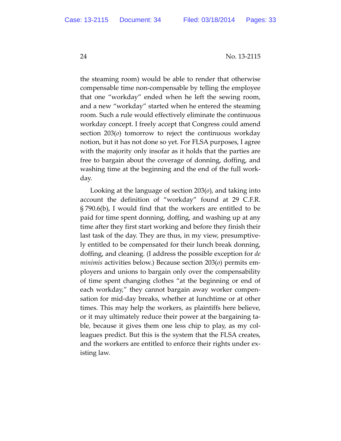the steaming room) would be able to render that otherwise compensable time non‐compensable by telling the employee that one "workday" ended when he left the sewing room, and a new "workday" started when he entered the steaming room. Such a rule would effectively eliminate the continuous workday concept. I freely accept that Congress could amend section 203(*o*) tomorrow to reject the continuous workday notion, but it has not done so yet. For FLSA purposes, I agree with the majority only insofar as it holds that the parties are free to bargain about the coverage of donning, doffing, and washing time at the beginning and the end of the full work‐ day.

Looking at the language of section 203(*o*), and taking into account the definition of "workday" found at 29 C.F.R. § 790.6(b), I would find that the workers are entitled to be paid for time spent donning, doffing, and washing up at any time after they first start working and before they finish their last task of the day. They are thus, in my view, presumptive‐ ly entitled to be compensated for their lunch break donning, doffing, and cleaning. (I address the possible exception for *de minimis* activities below.) Because section 203(*o*) permits em‐ ployers and unions to bargain only over the compensability of time spent changing clothes "at the beginning or end of each workday," they cannot bargain away worker compen‐ sation for mid‐day breaks, whether at lunchtime or at other times. This may help the workers, as plaintiffs here believe, or it may ultimately reduce their power at the bargaining ta‐ ble, because it gives them one less chip to play, as my colleagues predict. But this is the system that the FLSA creates, and the workers are entitled to enforce their rights under ex‐ isting law.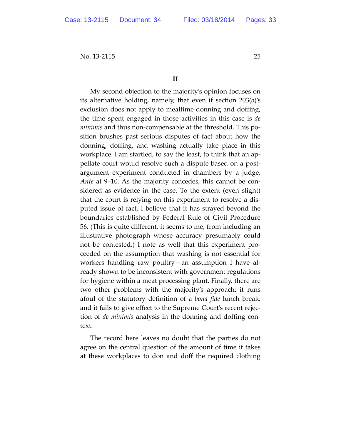## **II**

My second objection to the majority's opinion focuses on its alternative holding, namely, that even if section 203(*o*)'s exclusion does not apply to mealtime donning and doffing, the time spent engaged in those activities in this case is *de minimis* and thus non‐compensable at the threshold. This po‐ sition brushes past serious disputes of fact about how the donning, doffing, and washing actually take place in this workplace. I am startled, to say the least, to think that an ap‐ pellate court would resolve such a dispute based on a post‐ argument experiment conducted in chambers by a judge. *Ante* at 9–10. As the majority concedes, this cannot be con‐ sidered as evidence in the case. To the extent (even slight) that the court is relying on this experiment to resolve a dis‐ puted issue of fact, I believe that it has strayed beyond the boundaries established by Federal Rule of Civil Procedure 56. (This is quite different, it seems to me, from including an illustrative photograph whose accuracy presumably could not be contested.) I note as well that this experiment proceeded on the assumption that washing is not essential for workers handling raw poultry—an assumption I have al‐ ready shown to be inconsistent with government regulations for hygiene within a meat processing plant. Finally, there are two other problems with the majority's approach: it runs afoul of the statutory definition of a *bona fide* lunch break, and it fails to give effect to the Supreme Court's recent rejec‐ tion of *de minimis* analysis in the donning and doffing con‐ text.

The record here leaves no doubt that the parties do not agree on the central question of the amount of time it takes at these workplaces to don and doff the required clothing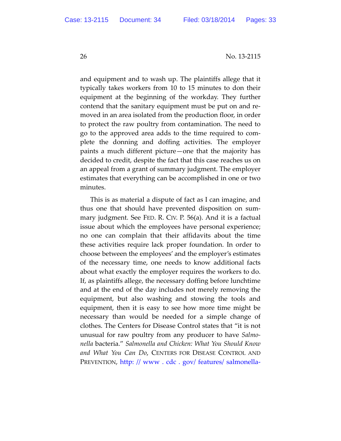and equipment and to wash up. The plaintiffs allege that it typically takes workers from 10 to 15 minutes to don their equipment at the beginning of the workday. They further contend that the sanitary equipment must be put on and re‐ moved in an area isolated from the production floor, in order to protect the raw poultry from contamination. The need to go to the approved area adds to the time required to com‐ plete the donning and doffing activities. The employer paints a much different picture—one that the majority has decided to credit, despite the fact that this case reaches us on an appeal from a grant of summary judgment. The employer estimates that everything can be accomplished in one or two minutes.

This is as material a dispute of fact as I can imagine, and thus one that should have prevented disposition on sum‐ mary judgment. See FED. R. CIV. P. 56(a). And it is a factual issue about which the employees have personal experience; no one can complain that their affidavits about the time these activities require lack proper foundation. In order to choose between the employees' and the employer's estimates of the necessary time, one needs to know additional facts about what exactly the employer requires the workers to do. If, as plaintiffs allege, the necessary doffing before lunchtime and at the end of the day includes not merely removing the equipment, but also washing and stowing the tools and equipment, then it is easy to see how more time might be necessary than would be needed for a simple change of clothes. The Centers for Disease Control states that "it is not unusual for raw poultry from any producer to have *Salmo‐ nella* bacteria." *Salmonella and Chicken: What You Should Know and What You Can Do*, CENTERS FOR DISEASE CONTROL AND PREVENTION, http: // www . cdc . gov/ features/ salmonella‐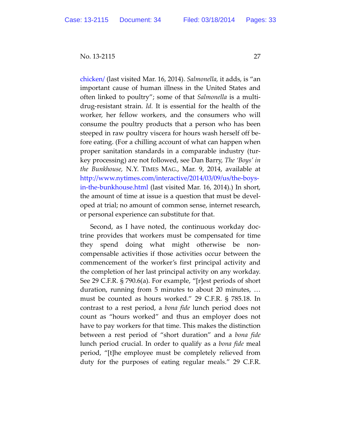chicken/ (last visited Mar. 16, 2014). *Salmonella,* it adds, is "an important cause of human illness in the United States and often linked to poultry"; some of that *Salmonella* is a multi‐ drug‐resistant strain. *Id.* It is essential for the health of the worker, her fellow workers, and the consumers who will consume the poultry products that a person who has been steeped in raw poultry viscera for hours wash herself off be‐ fore eating. (For a chilling account of what can happen when proper sanitation standards in a comparable industry (tur‐ key processing) are not followed, see Dan Barry, *The 'Boys' in the Bunkhouse,* N.Y. TIMES MAG., Mar. 9, 2014, available at http://www.nytimes.com/interactive/2014/03/09/us/the‐boys‐ in‐the‐bunkhouse.html (last visited Mar. 16, 2014).) In short, the amount of time at issue is a question that must be devel‐ oped at trial; no amount of common sense, internet research, or personal experience can substitute for that.

Second, as I have noted, the continuous workday doc‐ trine provides that workers must be compensated for time they spend doing what might otherwise be non‐ compensable activities if those activities occur between the commencement of the worker's first principal activity and the completion of her last principal activity on any workday. See 29 C.F.R. § 790.6(a). For example, "[r]est periods of short duration, running from 5 minutes to about 20 minutes, … must be counted as hours worked." 29 C.F.R. § 785.18. In contrast to a rest period, a *bona fide* lunch period does not count as "hours worked" and thus an employer does not have to pay workers for that time. This makes the distinction between a rest period of "short duration" and a *bona fide* lunch period crucial. In order to qualify as a *bona fide* meal period, "[t]he employee must be completely relieved from duty for the purposes of eating regular meals." 29 C.F.R.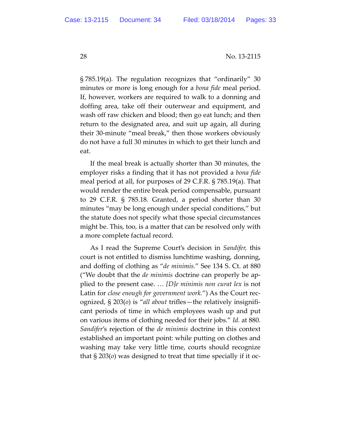§ 785.19(a)*.* The regulation recognizes that "ordinarily" 30 minutes or more is long enough for a *bona fide* meal period. If, however, workers are required to walk to a donning and doffing area, take off their outerwear and equipment, and wash off raw chicken and blood; then go eat lunch; and then return to the designated area, and suit up again, all during their 30‐minute "meal break," then those workers obviously do not have a full 30 minutes in which to get their lunch and eat.

If the meal break is actually shorter than 30 minutes, the employer risks a finding that it has not provided a *bona fide* meal period at all, for purposes of 29 C.F.R. § 785.19(a). That would render the entire break period compensable, pursuant to 29 C.F.R. § 785.18. Granted, a period shorter than 30 minutes "may be long enough under special conditions," but the statute does not specify what those special circumstances might be. This, too, is a matter that can be resolved only with a more complete factual record.

As I read the Supreme Court's decision in *Sandifer,* this court is not entitled to dismiss lunchtime washing, donning, and doffing of clothing as "*de minimis.*" See 134 S. Ct. at 880 ("We doubt that the *de minimis* doctrine can properly be ap‐ plied to the present case. … *[D]e minimis non curat lex* is not Latin for *close enough for government work.*") As the Court rec‐ ognized, § 203(*o*) is "*all about* trifles—the relatively insignifi‐ cant periods of time in which employees wash up and put on various items of clothing needed for their jobs." *Id.* at 880. *Sandifer*'s rejection of the *de minimis* doctrine in this context established an important point: while putting on clothes and washing may take very little time, courts should recognize that § 203(*o*) was designed to treat that time specially if it oc‐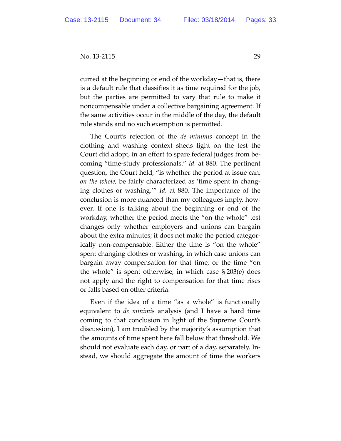curred at the beginning or end of the workday—that is, there is a default rule that classifies it as time required for the job, but the parties are permitted to vary that rule to make it noncompensable under a collective bargaining agreement. If the same activities occur in the middle of the day, the default rule stands and no such exemption is permitted.

The Court's rejection of the *de minimis* concept in the clothing and washing context sheds light on the test the Court did adopt, in an effort to spare federal judges from be‐ coming "time‐study professionals." *Id.* at 880. The pertinent question, the Court held, "is whether the period at issue can, *on the whole,* be fairly characterized as 'time spent in chang‐ ing clothes or washing.'" *Id.* at 880. The importance of the conclusion is more nuanced than my colleagues imply, how‐ ever. If one is talking about the beginning or end of the workday, whether the period meets the "on the whole" test changes only whether employers and unions can bargain about the extra minutes; it does not make the period categor‐ ically non‐compensable. Either the time is "on the whole" spent changing clothes or washing, in which case unions can bargain away compensation for that time, or the time "on the whole" is spent otherwise, in which case § 203(*o*) does not apply and the right to compensation for that time rises or falls based on other criteria.

Even if the idea of a time "as a whole" is functionally equivalent to *de minimis* analysis (and I have a hard time coming to that conclusion in light of the Supreme Court's discussion), I am troubled by the majority's assumption that the amounts of time spent here fall below that threshold. We should not evaluate each day, or part of a day, separately. In‐ stead, we should aggregate the amount of time the workers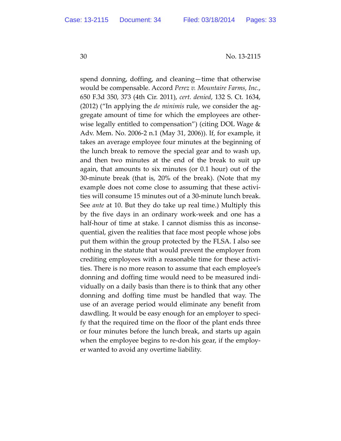spend donning, doffing, and cleaning—time that otherwise would be compensable. Accord *Perez v. Mountaire Farms, Inc.*, 650 F.3d 350, 373 (4th Cir. 2011), *cert. denied*, 132 S. Ct. 1634, (2012) ("In applying the *de minimis* rule, we consider the ag‐ gregate amount of time for which the employees are other‐ wise legally entitled to compensation") (citing DOL Wage & Adv. Mem. No. 2006‐2 n.1 (May 31, 2006)). If, for example, it takes an average employee four minutes at the beginning of the lunch break to remove the special gear and to wash up, and then two minutes at the end of the break to suit up again, that amounts to six minutes (or 0.1 hour) out of the 30‐minute break (that is, 20% of the break). (Note that my example does not come close to assuming that these activi‐ ties will consume 15 minutes out of a 30‐minute lunch break. See *ante* at 10. But they do take up real time.) Multiply this by the five days in an ordinary work‐week and one has a half-hour of time at stake. I cannot dismiss this as inconsequential, given the realities that face most people whose jobs put them within the group protected by the FLSA. I also see nothing in the statute that would prevent the employer from crediting employees with a reasonable time for these activi‐ ties. There is no more reason to assume that each employee's donning and doffing time would need to be measured indi‐ vidually on a daily basis than there is to think that any other donning and doffing time must be handled that way. The use of an average period would eliminate any benefit from dawdling. It would be easy enough for an employer to speci‐ fy that the required time on the floor of the plant ends three or four minutes before the lunch break, and starts up again when the employee begins to re-don his gear, if the employer wanted to avoid any overtime liability.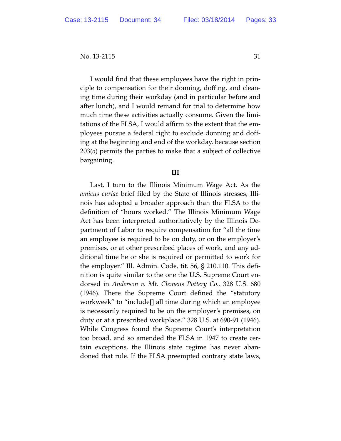I would find that these employees have the right in prin‐ ciple to compensation for their donning, doffing, and clean‐ ing time during their workday (and in particular before and after lunch), and I would remand for trial to determine how much time these activities actually consume. Given the limi‐ tations of the FLSA, I would affirm to the extent that the em‐ ployees pursue a federal right to exclude donning and doff‐ ing at the beginning and end of the workday, because section 203(*o*) permits the parties to make that a subject of collective bargaining.

## **III**

Last, I turn to the Illinois Minimum Wage Act. As the *amicus curiae* brief filed by the State of Illinois stresses, Illi‐ nois has adopted a broader approach than the FLSA to the definition of "hours worked." The Illinois Minimum Wage Act has been interpreted authoritatively by the Illinois De‐ partment of Labor to require compensation for "all the time an employee is required to be on duty, or on the employer's premises, or at other prescribed places of work, and any ad‐ ditional time he or she is required or permitted to work for the employer." Ill. Admin. Code, tit. 56, § 210.110. This defi‐ nition is quite similar to the one the U.S. Supreme Court en‐ dorsed in *Anderson v. Mt. Clemens Pottery Co.,* 328 U.S. 680 (1946). There the Supreme Court defined the "statutory workweek" to "include[] all time during which an employee is necessarily required to be on the employer's premises, on duty or at a prescribed workplace." 328 U.S. at 690‐91 (1946). While Congress found the Supreme Court's interpretation too broad, and so amended the FLSA in 1947 to create cer‐ tain exceptions, the Illinois state regime has never aban‐ doned that rule. If the FLSA preempted contrary state laws,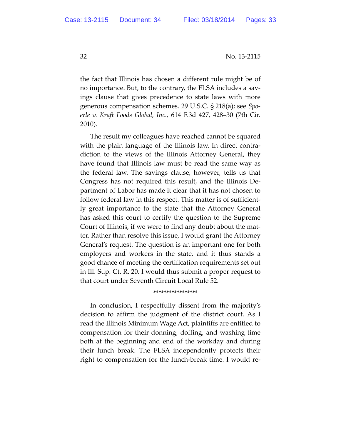the fact that Illinois has chosen a different rule might be of no importance. But, to the contrary, the FLSA includes a savings clause that gives precedence to state laws with more generous compensation schemes. 29 U.S.C. § 218(a); see *Spo‐ erle v. Kraft Foods Global, Inc.,* 614 F.3d 427, 428–30 (7th Cir. 2010).

The result my colleagues have reached cannot be squared with the plain language of the Illinois law. In direct contra‐ diction to the views of the Illinois Attorney General, they have found that Illinois law must be read the same way as the federal law. The savings clause, however, tells us that Congress has not required this result, and the Illinois De‐ partment of Labor has made it clear that it has not chosen to follow federal law in this respect. This matter is of sufficient‐ ly great importance to the state that the Attorney General has asked this court to certify the question to the Supreme Court of Illinois, if we were to find any doubt about the mat‐ ter. Rather than resolve this issue, I would grant the Attorney General's request. The question is an important one for both employers and workers in the state, and it thus stands a good chance of meeting the certification requirements set out in Ill. Sup. Ct. R. 20. I would thus submit a proper request to that court under Seventh Circuit Local Rule 52.

## \*\*\*\*\*\*\*\*\*\*\*\*\*\*\*\*\*

In conclusion, I respectfully dissent from the majority's decision to affirm the judgment of the district court. As I read the Illinois Minimum Wage Act, plaintiffs are entitled to compensation for their donning, doffing, and washing time both at the beginning and end of the workday and during their lunch break. The FLSA independently protects their right to compensation for the lunch‐break time. I would re‐